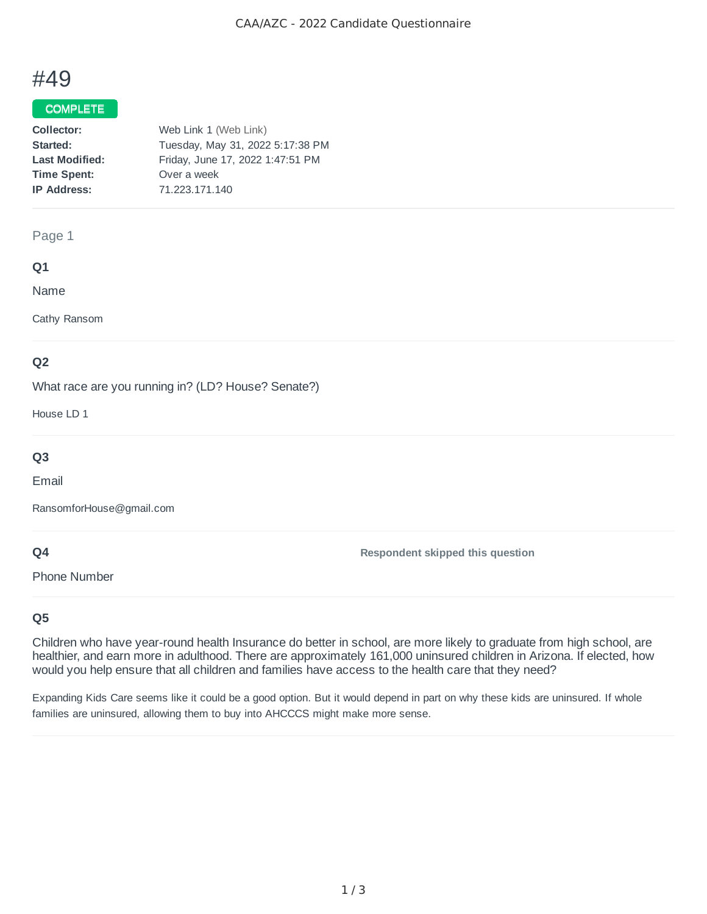# #49

#### COMPLETE

| Collector:            | Web Link 1 (Web Link)            |
|-----------------------|----------------------------------|
| Started:              | Tuesday, May 31, 2022 5:17:38 PM |
| <b>Last Modified:</b> | Friday, June 17, 2022 1:47:51 PM |
| <b>Time Spent:</b>    | Over a week                      |
| <b>IP Address:</b>    | 71.223.171.140                   |
|                       |                                  |

#### Page 1

#### **Q1**

Name

Cathy Ransom

### **Q2**

What race are you running in? (LD? House? Senate?)

House LD 1

# **Q3**

Email

RansomforHouse@gmail.com

#### **Q4**

Phone Number

**Respondent skipped this question**

### **Q5**

Children who have year-round health Insurance do better in school, are more likely to graduate from high school, are healthier, and earn more in adulthood. There are approximately 161,000 uninsured children in Arizona. If elected, how would you help ensure that all children and families have access to the health care that they need?

Expanding Kids Care seems like it could be a good option. But it would depend in part on why these kids are uninsured. If whole families are uninsured, allowing them to buy into AHCCCS might make more sense.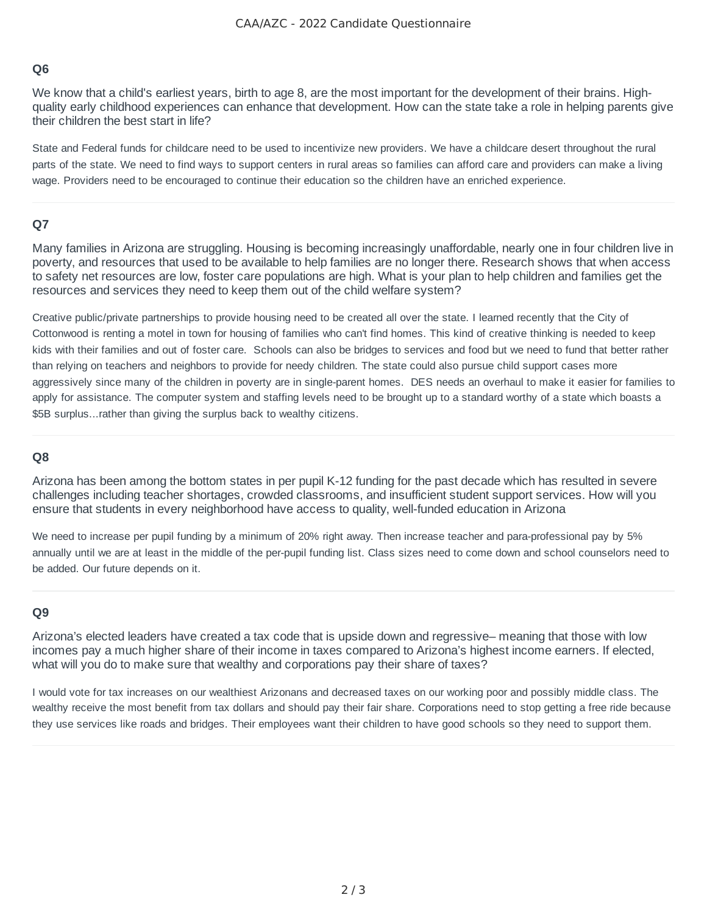#### **Q6**

We know that a child's earliest years, birth to age 8, are the most important for the development of their brains. Highquality early childhood experiences can enhance that development. How can the state take a role in helping parents give their children the best start in life?

State and Federal funds for childcare need to be used to incentivize new providers. We have a childcare desert throughout the rural parts of the state. We need to find ways to support centers in rural areas so families can afford care and providers can make a living wage. Providers need to be encouraged to continue their education so the children have an enriched experience.

### **Q7**

Many families in Arizona are struggling. Housing is becoming increasingly unaffordable, nearly one in four children live in poverty, and resources that used to be available to help families are no longer there. Research shows that when access to safety net resources are low, foster care populations are high. What is your plan to help children and families get the resources and services they need to keep them out of the child welfare system?

Creative public/private partnerships to provide housing need to be created all over the state. I learned recently that the City of Cottonwood is renting a motel in town for housing of families who can't find homes. This kind of creative thinking is needed to keep kids with their families and out of foster care. Schools can also be bridges to services and food but we need to fund that better rather than relying on teachers and neighbors to provide for needy children. The state could also pursue child support cases more aggressively since many of the children in poverty are in single-parent homes. DES needs an overhaul to make it easier for families to apply for assistance. The computer system and staffing levels need to be brought up to a standard worthy of a state which boasts a \$5B surplus...rather than giving the surplus back to wealthy citizens.

#### **Q8**

Arizona has been among the bottom states in per pupil K-12 funding for the past decade which has resulted in severe challenges including teacher shortages, crowded classrooms, and insufficient student support services. How will you ensure that students in every neighborhood have access to quality, well-funded education in Arizona

We need to increase per pupil funding by a minimum of 20% right away. Then increase teacher and para-professional pay by 5% annually until we are at least in the middle of the per-pupil funding list. Class sizes need to come down and school counselors need to be added. Our future depends on it.

#### **Q9**

Arizona's elected leaders have created a tax code that is upside down and regressive– meaning that those with low incomes pay a much higher share of their income in taxes compared to Arizona's highest income earners. If elected, what will you do to make sure that wealthy and corporations pay their share of taxes?

I would vote for tax increases on our wealthiest Arizonans and decreased taxes on our working poor and possibly middle class. The wealthy receive the most benefit from tax dollars and should pay their fair share. Corporations need to stop getting a free ride because they use services like roads and bridges. Their employees want their children to have good schools so they need to support them.